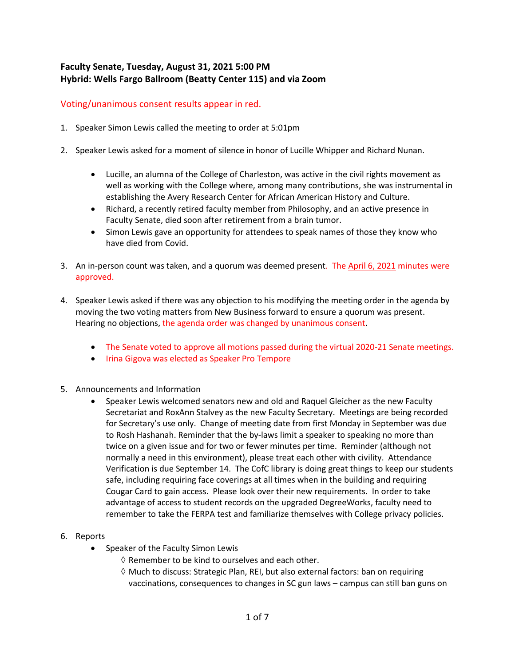## **Faculty Senate, Tuesday, August 31, 2021 5:00 PM Hybrid: Wells Fargo Ballroom (Beatty Center 115) and via Zoom**

## Voting/unanimous consent results appear in red.

- 1. Speaker Simon Lewis called the meeting to order at 5:01pm
- 2. Speaker Lewis asked for a moment of silence in honor of Lucille Whipper and Richard Nunan.
	- Lucille, an alumna of the College of Charleston, was active in the civil rights movement as well as working with the College where, among many contributions, she was instrumental in establishing the Avery Research Center for African American History and Culture.
	- Richard, a recently retired faculty member from Philosophy, and an active presence in Faculty Senate, died soon after retirement from a brain tumor.
	- Simon Lewis gave an opportunity for attendees to speak names of those they know who have died from Covid.
- 3. An in-person count was taken, and a quorum was deemed present. The [April 6, 2021](https://facultysenate.cofc.edu/documents/archives/faculty-senate-minutes/minutes_2021_04_06.pdf) minutes were approved.
- 4. Speaker Lewis asked if there was any objection to his modifying the meeting order in the agenda by moving the two voting matters from New Business forward to ensure a quorum was present. Hearing no objections, the agenda order was changed by unanimous consent.
	- The Senate voted to approve all motions passed during the virtual 2020-21 Senate meetings.
	- Irina Gigova was elected as Speaker Pro Tempore
- 5. Announcements and Information
	- Speaker Lewis welcomed senators new and old and Raquel Gleicher as the new Faculty Secretariat and RoxAnn Stalvey as the new Faculty Secretary. Meetings are being recorded for Secretary's use only. Change of meeting date from first Monday in September was due to Rosh Hashanah. Reminder that the by-laws limit a speaker to speaking no more than twice on a given issue and for two or fewer minutes per time. Reminder (although not normally a need in this environment), please treat each other with civility. Attendance Verification is due September 14. The CofC library is doing great things to keep our students safe, including requiring face coverings at all times when in the building and requiring Cougar Card to gain access. Please look over their new requirements. In order to take advantage of access to student records on the upgraded DegreeWorks, faculty need to remember to take the FERPA test and familiarize themselves with College privacy policies.
- 6. Reports
	- Speaker of the Faculty Simon Lewis
		- $\diamond$  Remember to be kind to ourselves and each other.
		- $\diamond$  Much to discuss: Strategic Plan, REI, but also external factors: ban on requiring vaccinations, consequences to changes in SC gun laws – campus can still ban guns on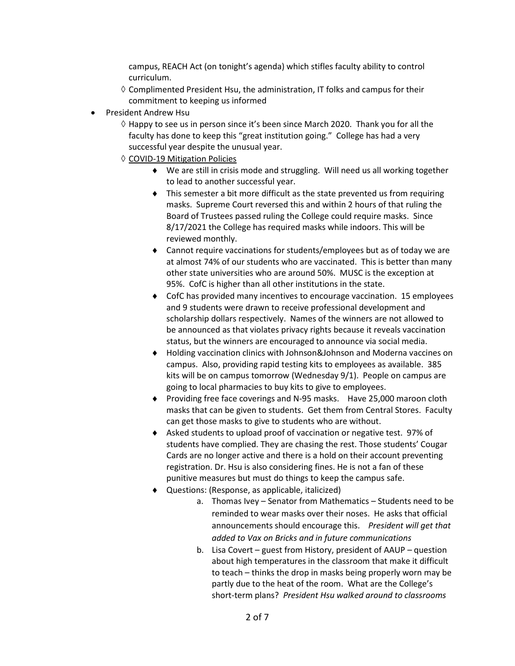campus, REACH Act (on tonight's agenda) which stifles faculty ability to control curriculum.

- $\diamond$  Complimented President Hsu, the administration, IT folks and campus for their commitment to keeping us informed
- President Andrew Hsu
	- ◊ Happy to see us in person since it's been since March 2020. Thank you for all the faculty has done to keep this "great institution going." College has had a very successful year despite the unusual year.
	- ◊ COVID-19 Mitigation Policies
		- ♦ We are still in crisis mode and struggling. Will need us all working together to lead to another successful year.
		- ♦ This semester a bit more difficult as the state prevented us from requiring masks. Supreme Court reversed this and within 2 hours of that ruling the Board of Trustees passed ruling the College could require masks. Since 8/17/2021 the College has required masks while indoors. This will be reviewed monthly.
		- ♦ Cannot require vaccinations for students/employees but as of today we are at almost 74% of our students who are vaccinated. This is better than many other state universities who are around 50%. MUSC is the exception at 95%. CofC is higher than all other institutions in the state.
		- ♦ CofC has provided many incentives to encourage vaccination. 15 employees and 9 students were drawn to receive professional development and scholarship dollars respectively. Names of the winners are not allowed to be announced as that violates privacy rights because it reveals vaccination status, but the winners are encouraged to announce via social media.
		- ♦ Holding vaccination clinics with Johnson&Johnson and Moderna vaccines on campus. Also, providing rapid testing kits to employees as available. 385 kits will be on campus tomorrow (Wednesday 9/1). People on campus are going to local pharmacies to buy kits to give to employees.
		- ♦ Providing free face coverings and N-95 masks. Have 25,000 maroon cloth masks that can be given to students. Get them from Central Stores. Faculty can get those masks to give to students who are without.
		- ♦ Asked students to upload proof of vaccination or negative test. 97% of students have complied. They are chasing the rest. Those students' Cougar Cards are no longer active and there is a hold on their account preventing registration. Dr. Hsu is also considering fines. He is not a fan of these punitive measures but must do things to keep the campus safe.
		- ♦ Questions: (Response, as applicable, italicized)
			- a. Thomas Ivey Senator from Mathematics Students need to be reminded to wear masks over their noses. He asks that official announcements should encourage this. *President will get that added to Vax on Bricks and in future communications*
			- b. Lisa Covert guest from History, president of AAUP question about high temperatures in the classroom that make it difficult to teach – thinks the drop in masks being properly worn may be partly due to the heat of the room. What are the College's short-term plans? *President Hsu walked around to classrooms*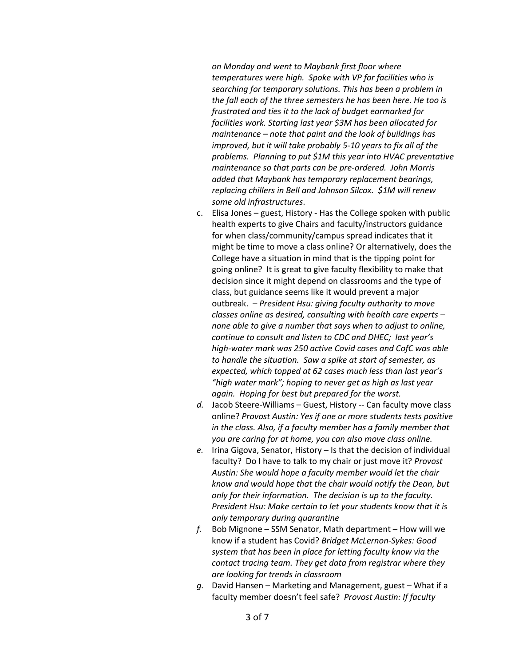*on Monday and went to Maybank first floor where temperatures were high. Spoke with VP for facilities who is searching for temporary solutions. This has been a problem in the fall each of the three semesters he has been here. He too is frustrated and ties it to the lack of budget earmarked for facilities work. Starting last year \$3M has been allocated for maintenance – note that paint and the look of buildings has improved, but it will take probably 5-10 years to fix all of the problems. Planning to put \$1M this year into HVAC preventative maintenance so that parts can be pre-ordered. John Morris added that Maybank has temporary replacement bearings, replacing chillers in Bell and Johnson Silcox. \$1M will renew some old infrastructures*.

- c. Elisa Jones guest, History Has the College spoken with public health experts to give Chairs and faculty/instructors guidance for when class/community/campus spread indicates that it might be time to move a class online? Or alternatively, does the College have a situation in mind that is the tipping point for going online? It is great to give faculty flexibility to make that decision since it might depend on classrooms and the type of class, but guidance seems like it would prevent a major outbreak. – *President Hsu: giving faculty authority to move classes online as desired, consulting with health care experts – none able to give a number that says when to adjust to online, continue to consult and listen to CDC and DHEC; last year's high-water mark was 250 active Covid cases and CofC was able to handle the situation. Saw a spike at start of semester, as expected, which topped at 62 cases much less than last year's "high water mark"; hoping to never get as high as last year again. Hoping for best but prepared for the worst.*
- *d.* Jacob Steere-Williams Guest, History -- Can faculty move class online? *Provost Austin: Yes if one or more students tests positive in the class. Also, if a faculty member has a family member that you are caring for at home, you can also move class online.*
- *e.* Irina Gigova, Senator, History Is that the decision of individual faculty? Do I have to talk to my chair or just move it? *Provost Austin: She would hope a faculty member would let the chair know and would hope that the chair would notify the Dean, but only for their information. The decision is up to the faculty. President Hsu: Make certain to let your students know that it is only temporary during quarantine*
- *f.* Bob Mignone SSM Senator, Math department How will we know if a student has Covid? *Bridget McLernon-Sykes: Good system that has been in place for letting faculty know via the contact tracing team. They get data from registrar where they are looking for trends in classroom*
- *g.* David Hansen Marketing and Management, guest What if a faculty member doesn't feel safe? *Provost Austin: If faculty*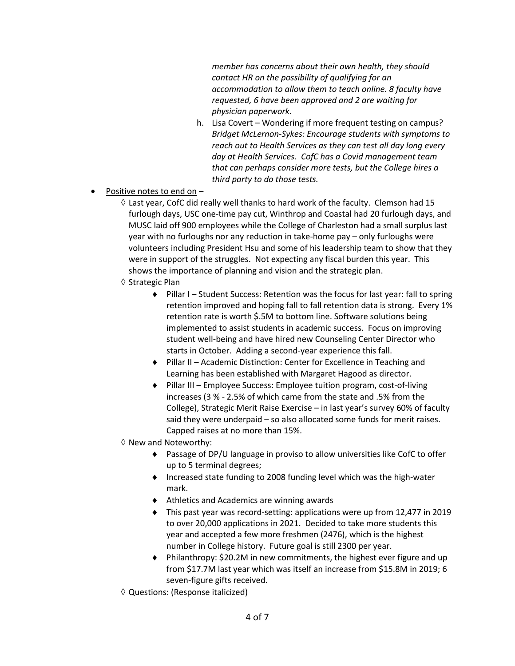*member has concerns about their own health, they should contact HR on the possibility of qualifying for an accommodation to allow them to teach online. 8 faculty have requested, 6 have been approved and 2 are waiting for physician paperwork.*

- h. Lisa Covert Wondering if more frequent testing on campus? *Bridget McLernon-Sykes: Encourage students with symptoms to reach out to Health Services as they can test all day long every day at Health Services. CofC has a Covid management team that can perhaps consider more tests, but the College hires a third party to do those tests.*
- Positive notes to end on
	- ◊ Last year, CofC did really well thanks to hard work of the faculty. Clemson had 15 furlough days, USC one-time pay cut, Winthrop and Coastal had 20 furlough days, and MUSC laid off 900 employees while the College of Charleston had a small surplus last year with no furloughs nor any reduction in take-home pay – only furloughs were volunteers including President Hsu and some of his leadership team to show that they were in support of the struggles. Not expecting any fiscal burden this year. This shows the importance of planning and vision and the strategic plan.
	- ◊ Strategic Plan
		- ♦ Pillar I Student Success: Retention was the focus for last year: fall to spring retention improved and hoping fall to fall retention data is strong. Every 1% retention rate is worth \$.5M to bottom line. Software solutions being implemented to assist students in academic success. Focus on improving student well-being and have hired new Counseling Center Director who starts in October. Adding a second-year experience this fall.
		- ♦ Pillar II Academic Distinction: Center for Excellence in Teaching and Learning has been established with Margaret Hagood as director.
		- ♦ Pillar III Employee Success: Employee tuition program, cost-of-living increases (3 % - 2.5% of which came from the state and .5% from the College), Strategic Merit Raise Exercise – in last year's survey 60% of faculty said they were underpaid – so also allocated some funds for merit raises. Capped raises at no more than 15%.
	- ◊ New and Noteworthy:
		- ♦ Passage of DP/U language in proviso to allow universities like CofC to offer up to 5 terminal degrees;
		- ♦ Increased state funding to 2008 funding level which was the high-water mark.
		- ♦ Athletics and Academics are winning awards
		- ♦ This past year was record-setting: applications were up from 12,477 in 2019 to over 20,000 applications in 2021. Decided to take more students this year and accepted a few more freshmen (2476), which is the highest number in College history. Future goal is still 2300 per year.
		- ♦ Philanthropy: \$20.2M in new commitments, the highest ever figure and up from \$17.7M last year which was itself an increase from \$15.8M in 2019; 6 seven-figure gifts received.
	- ◊ Questions: (Response italicized)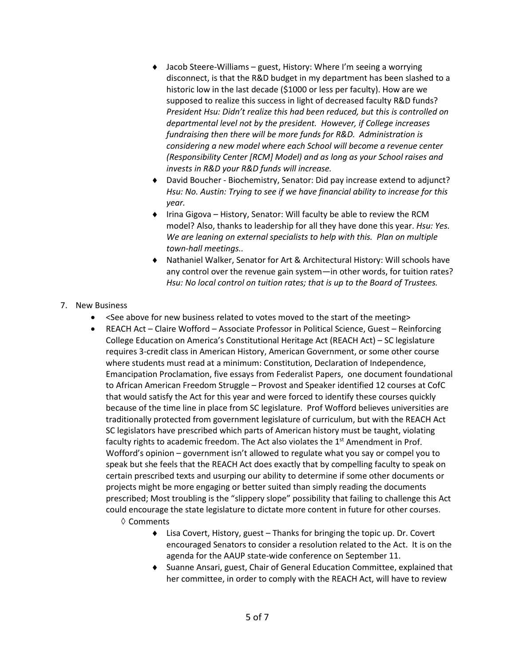- ♦ Jacob Steere-Williams guest, History: Where I'm seeing a worrying disconnect, is that the R&D budget in my department has been slashed to a historic low in the last decade (\$1000 or less per faculty). How are we supposed to realize this success in light of decreased faculty R&D funds? *President Hsu: Didn't realize this had been reduced, but this is controlled on departmental level not by the president. However, if College increases fundraising then there will be more funds for R&D. Administration is considering a new model where each School will become a revenue center (Responsibility Center [RCM] Model) and as long as your School raises and invests in R&D your R&D funds will increase.*
- ♦ David Boucher Biochemistry, Senator: Did pay increase extend to adjunct? *Hsu: No. Austin: Trying to see if we have financial ability to increase for this year.*
- ♦ Irina Gigova History, Senator: Will faculty be able to review the RCM model? Also, thanks to leadership for all they have done this year. *Hsu: Yes. We are leaning on external specialists to help with this. Plan on multiple town-hall meetings..*
- ♦ Nathaniel Walker, Senator for Art & Architectural History: Will schools have any control over the revenue gain system—in other words, for tuition rates? *Hsu: No local control on tuition rates; that is up to the Board of Trustees.*

## 7. New Business

- <See above for new business related to votes moved to the start of the meeting>
- REACH Act Claire Wofford Associate Professor in Political Science, Guest Reinforcing College Education on America's Constitutional Heritage Act (REACH Act) – SC legislature requires 3-credit class in American History, American Government, or some other course where students must read at a minimum: Constitution, Declaration of Independence, Emancipation Proclamation, five essays from Federalist Papers, one document foundational to African American Freedom Struggle – Provost and Speaker identified 12 courses at CofC that would satisfy the Act for this year and were forced to identify these courses quickly because of the time line in place from SC legislature. Prof Wofford believes universities are traditionally protected from government legislature of curriculum, but with the REACH Act SC legislators have prescribed which parts of American history must be taught, violating faculty rights to academic freedom. The Act also violates the 1<sup>st</sup> Amendment in Prof. Wofford's opinion – government isn't allowed to regulate what you say or compel you to speak but she feels that the REACH Act does exactly that by compelling faculty to speak on certain prescribed texts and usurping our ability to determine if some other documents or projects might be more engaging or better suited than simply reading the documents prescribed; Most troubling is the "slippery slope" possibility that failing to challenge this Act could encourage the state legislature to dictate more content in future for other courses.
	- ◊ Comments
		- ♦ Lisa Covert, History, guest Thanks for bringing the topic up. Dr. Covert encouraged Senators to consider a resolution related to the Act. It is on the agenda for the AAUP state-wide conference on September 11.
		- ♦ Suanne Ansari, guest, Chair of General Education Committee, explained that her committee, in order to comply with the REACH Act, will have to review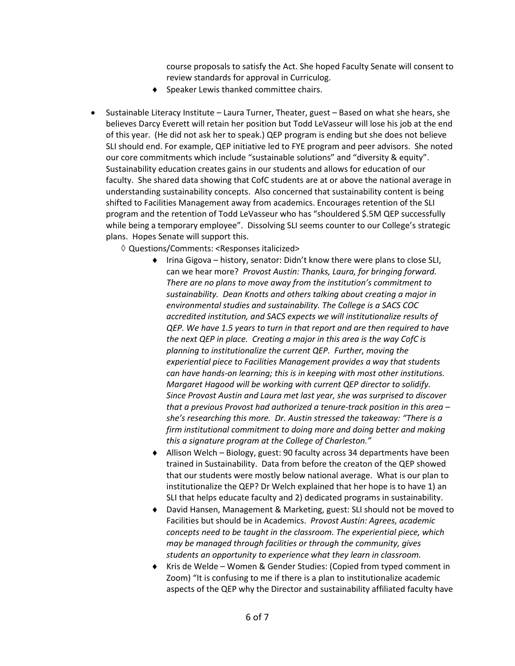course proposals to satisfy the Act. She hoped Faculty Senate will consent to review standards for approval in Curriculog.

- ♦ Speaker Lewis thanked committee chairs.
- Sustainable Literacy Institute Laura Turner, Theater, guest Based on what she hears, she believes Darcy Everett will retain her position but Todd LeVasseur will lose his job at the end of this year. (He did not ask her to speak.) QEP program is ending but she does not believe SLI should end. For example, QEP initiative led to FYE program and peer advisors. She noted our core commitments which include "sustainable solutions" and "diversity & equity". Sustainability education creates gains in our students and allows for education of our faculty. She shared data showing that CofC students are at or above the national average in understanding sustainability concepts. Also concerned that sustainability content is being shifted to Facilities Management away from academics. Encourages retention of the SLI program and the retention of Todd LeVasseur who has "shouldered \$.5M QEP successfully while being a temporary employee". Dissolving SLI seems counter to our College's strategic plans. Hopes Senate will support this.
	- ◊ Questions/Comments: <Responses italicized>
		- ♦ Irina Gigova history, senator: Didn't know there were plans to close SLI, can we hear more? *Provost Austin: Thanks, Laura, for bringing forward. There are no plans to move away from the institution's commitment to sustainability. Dean Knotts and others talking about creating a major in environmental studies and sustainability. The College is a SACS COC accredited institution, and SACS expects we will institutionalize results of QEP. We have 1.5 years to turn in that report and are then required to have the next QEP in place. Creating a major in this area is the way CofC is planning to institutionalize the current QEP. Further, moving the experiential piece to Facilities Management provides a way that students can have hands-on learning; this is in keeping with most other institutions. Margaret Hagood will be working with current QEP director to solidify. Since Provost Austin and Laura met last year, she was surprised to discover that a previous Provost had authorized a tenure-track position in this area – she's researching this more. Dr. Austin stressed the takeaway: "There is a firm institutional commitment to doing more and doing better and making this a signature program at the College of Charleston."*
		- ♦ Allison Welch Biology, guest: 90 faculty across 34 departments have been trained in Sustainability. Data from before the creaton of the QEP showed that our students were mostly below national average. What is our plan to institutionalize the QEP? Dr Welch explained that her hope is to have 1) an SLI that helps educate faculty and 2) dedicated programs in sustainability.
		- ♦ David Hansen, Management & Marketing, guest: SLI should not be moved to Facilities but should be in Academics. *Provost Austin: Agrees, academic concepts need to be taught in the classroom. The experiential piece, which may be managed through facilities or through the community, gives students an opportunity to experience what they learn in classroom.*
		- ♦ Kris de Welde Women & Gender Studies: (Copied from typed comment in Zoom) "It is confusing to me if there is a plan to institutionalize academic aspects of the QEP why the Director and sustainability affiliated faculty have